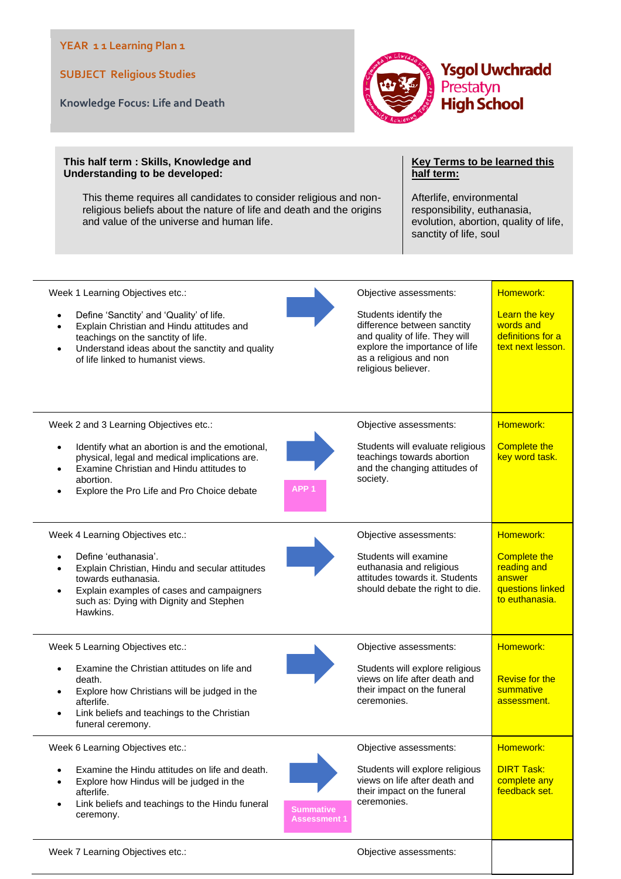## **YEAR 1 1 Learning Plan 1**

**SUBJECT Religious Studies**

**Knowledge Focus: Life and Death**



## **This half term : Skills, Knowledge and Understanding to be developed:**

This theme requires all candidates to consider religious and nonreligious beliefs about the nature of life and death and the origins and value of the universe and human life.

## **Key Terms to be learned this half term:**

Afterlife, environmental responsibility, euthanasia, evolution, abortion, quality of life, sanctity of life, soul

| Week 1 Learning Objectives etc.:<br>Define 'Sanctity' and 'Quality' of life.<br>$\bullet$<br>Explain Christian and Hindu attitudes and<br>٠<br>teachings on the sanctity of life.<br>Understand ideas about the sanctity and quality<br>$\bullet$<br>of life linked to humanist views. | Objective assessments:<br>Students identify the<br>difference between sanctity<br>and quality of life. They will<br>explore the importance of life<br>as a religious and non<br>religious believer. | Homework:<br>Learn the key<br>words and<br>definitions for a<br>text next lesson.               |
|----------------------------------------------------------------------------------------------------------------------------------------------------------------------------------------------------------------------------------------------------------------------------------------|-----------------------------------------------------------------------------------------------------------------------------------------------------------------------------------------------------|-------------------------------------------------------------------------------------------------|
| Week 2 and 3 Learning Objectives etc.:<br>Identify what an abortion is and the emotional,<br>$\bullet$<br>physical, legal and medical implications are.<br>Examine Christian and Hindu attitudes to<br>٠<br>abortion.<br>Explore the Pro Life and Pro Choice debate<br>٠               | Objective assessments:<br>Students will evaluate religious<br>teachings towards abortion<br>and the changing attitudes of<br>society.<br>APP <sub>1</sub>                                           | Homework:<br><b>Complete the</b><br>key word task.                                              |
| Week 4 Learning Objectives etc.:<br>Define 'euthanasia'.<br>٠<br>Explain Christian, Hindu and secular attitudes<br>$\bullet$<br>towards euthanasia.<br>Explain examples of cases and campaigners<br>$\bullet$<br>such as: Dying with Dignity and Stephen<br>Hawkins.                   | Objective assessments:<br>Students will examine<br>euthanasia and religious<br>attitudes towards it. Students<br>should debate the right to die.                                                    | Homework:<br><b>Complete the</b><br>reading and<br>answer<br>questions linked<br>to euthanasia. |
| Week 5 Learning Objectives etc.:<br>Examine the Christian attitudes on life and<br>٠<br>death.<br>Explore how Christians will be judged in the<br>٠<br>afterlife.<br>Link beliefs and teachings to the Christian<br>٠<br>funeral ceremony.                                             | Objective assessments:<br>Students will explore religious<br>views on life after death and<br>their impact on the funeral<br>ceremonies.                                                            | Homework:<br><b>Revise for the</b><br>summative<br>assessment.                                  |
| Week 6 Learning Objectives etc.:<br>Examine the Hindu attitudes on life and death.<br>Explore how Hindus will be judged in the<br>afterlife.<br>Link beliefs and teachings to the Hindu funeral<br>$\bullet$<br>ceremony.                                                              | Objective assessments:<br>Students will explore religious<br>views on life after death and<br>their impact on the funeral<br>ceremonies.<br><b>Summative</b><br><b>Assessment 1</b>                 | Homework:<br><b>DIRT Task:</b><br>complete any<br>feedback set.                                 |
| Week 7 Learning Objectives etc.:                                                                                                                                                                                                                                                       | Objective assessments:                                                                                                                                                                              |                                                                                                 |